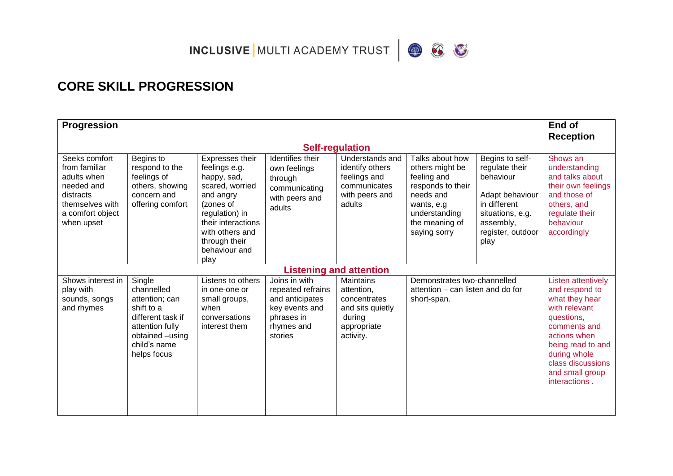INCLUSIVE MULTI ACADEMY TRUST  $\bigcirc$   $\bigcirc$ 



| <b>Progression</b>                                                                                                            |                                                                                                                                                |                                                                                                                                                                                                   |                                                                                                                |                                                                                                          |                                                                                                                                                      |                                                                                                                                                 | End of<br><b>Reception</b>                                                                                                                                                                                          |
|-------------------------------------------------------------------------------------------------------------------------------|------------------------------------------------------------------------------------------------------------------------------------------------|---------------------------------------------------------------------------------------------------------------------------------------------------------------------------------------------------|----------------------------------------------------------------------------------------------------------------|----------------------------------------------------------------------------------------------------------|------------------------------------------------------------------------------------------------------------------------------------------------------|-------------------------------------------------------------------------------------------------------------------------------------------------|---------------------------------------------------------------------------------------------------------------------------------------------------------------------------------------------------------------------|
|                                                                                                                               |                                                                                                                                                |                                                                                                                                                                                                   |                                                                                                                | <b>Self-regulation</b>                                                                                   |                                                                                                                                                      |                                                                                                                                                 |                                                                                                                                                                                                                     |
| Seeks comfort<br>from familiar<br>adults when<br>needed and<br>distracts<br>themselves with<br>a comfort object<br>when upset | Begins to<br>respond to the<br>feelings of<br>others, showing<br>concern and<br>offering comfort                                               | Expresses their<br>feelings e.g.<br>happy, sad,<br>scared, worried<br>and angry<br>(zones of<br>regulation) in<br>their interactions<br>with others and<br>through their<br>behaviour and<br>play | Identifies their<br>own feelings<br>through<br>communicating<br>with peers and<br>adults                       | Understands and<br>identify others<br>feelings and<br>communicates<br>with peers and<br>adults           | Talks about how<br>others might be<br>feeling and<br>responds to their<br>needs and<br>wants, e.g<br>understanding<br>the meaning of<br>saying sorry | Begins to self-<br>regulate their<br>behaviour<br>Adapt behaviour<br>in different<br>situations, e.g.<br>assembly,<br>register, outdoor<br>play | Shows an<br>understanding<br>and talks about<br>their own feelings<br>and those of<br>others, and<br>regulate their<br>behaviour<br>accordingly                                                                     |
|                                                                                                                               |                                                                                                                                                |                                                                                                                                                                                                   |                                                                                                                | <b>Listening and attention</b>                                                                           |                                                                                                                                                      |                                                                                                                                                 |                                                                                                                                                                                                                     |
| Shows interest in<br>play with<br>sounds, songs<br>and rhymes                                                                 | Single<br>channelled<br>attention; can<br>shift to a<br>different task if<br>attention fully<br>obtained -using<br>child's name<br>helps focus | Listens to others<br>in one-one or<br>small groups,<br>when<br>conversations<br>interest them                                                                                                     | Joins in with<br>repeated refrains<br>and anticipates<br>key events and<br>phrases in<br>rhymes and<br>stories | <b>Maintains</b><br>attention,<br>concentrates<br>and sits quietly<br>during<br>appropriate<br>activity. | Demonstrates two-channelled<br>attention – can listen and do for<br>short-span.                                                                      |                                                                                                                                                 | Listen attentively<br>and respond to<br>what they hear<br>with relevant<br>questions,<br>comments and<br>actions when<br>being read to and<br>during whole<br>class discussions<br>and small group<br>interactions. |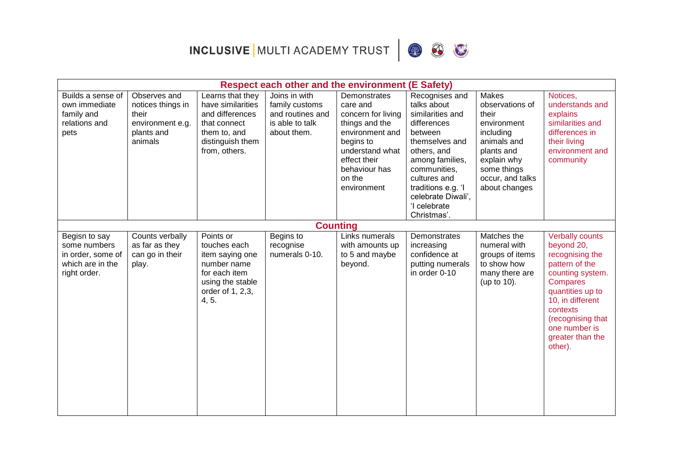



|                                                                                        | <b>Respect each other and the environment (E Safety)</b>                                |                                                                                                                               |                                                                                       |                                                                                                                                                                               |                                                                                                                                                                                                                                            |                                                                                                                                                                      |                                                                                                                                                                                                                                           |  |  |
|----------------------------------------------------------------------------------------|-----------------------------------------------------------------------------------------|-------------------------------------------------------------------------------------------------------------------------------|---------------------------------------------------------------------------------------|-------------------------------------------------------------------------------------------------------------------------------------------------------------------------------|--------------------------------------------------------------------------------------------------------------------------------------------------------------------------------------------------------------------------------------------|----------------------------------------------------------------------------------------------------------------------------------------------------------------------|-------------------------------------------------------------------------------------------------------------------------------------------------------------------------------------------------------------------------------------------|--|--|
| Builds a sense of<br>own immediate<br>family and<br>relations and<br>pets              | Observes and<br>notices things in<br>their<br>environment e.g.<br>plants and<br>animals | Learns that they<br>have similarities<br>and differences<br>that connect<br>them to, and<br>distinguish them<br>from, others. | Joins in with<br>family customs<br>and routines and<br>is able to talk<br>about them. | Demonstrates<br>care and<br>concern for living<br>things and the<br>environment and<br>begins to<br>understand what<br>effect their<br>behaviour has<br>on the<br>environment | Recognises and<br>talks about<br>similarities and<br>differences<br>between<br>themselves and<br>others, and<br>among families,<br>communities,<br>cultures and<br>traditions e.g. 'I<br>celebrate Diwali',<br>'I celebrate<br>Christmas'. | <b>Makes</b><br>observations of<br>their<br>environment<br>including<br>animals and<br>plants and<br>explain why<br>some things<br>occur, and talks<br>about changes | Notices,<br>understands and<br>explains<br>similarities and<br>differences in<br>their living<br>environment and<br>community                                                                                                             |  |  |
| Begisn to say<br>some numbers<br>in order, some of<br>which are in the<br>right order. | Counts verbally<br>as far as they<br>can go in their<br>play.                           | Points or<br>touches each<br>item saying one<br>number name<br>for each item<br>using the stable<br>order of 1, 2,3,<br>4, 5. | <b>Counting</b><br>Begins to<br>recognise<br>numerals 0-10.                           | Links numerals<br>with amounts up<br>to 5 and maybe<br>beyond.                                                                                                                | Demonstrates<br>increasing<br>confidence at<br>putting numerals<br>in order 0-10                                                                                                                                                           | Matches the<br>numeral with<br>groups of items<br>to show how<br>many there are<br>(up to 10).                                                                       | <b>Verbally counts</b><br>beyond 20,<br>recognising the<br>pattern of the<br>counting system.<br><b>Compares</b><br>quantities up to<br>10, in different<br>contexts<br>(recognising that<br>one number is<br>greater than the<br>other). |  |  |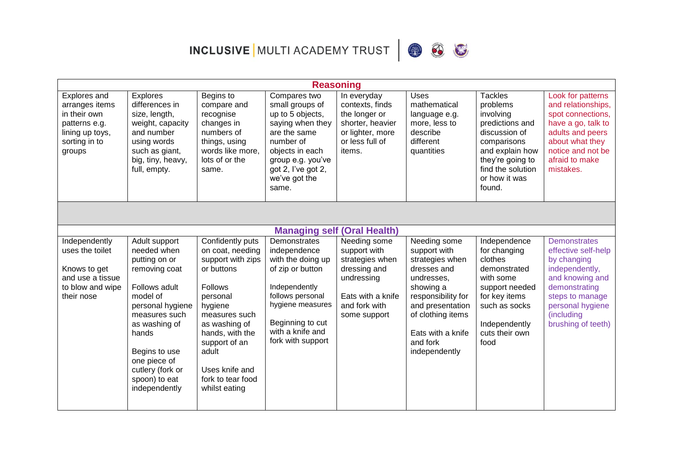INCLUSIVE MULTI ACADEMY TRUST  $\bigotimes$   $\bigotimes$ 



|                                                                                                               |                                                                                                                                                                                                                                                   |                                                                                                                                                                                                                                                         | <b>Reasoning</b>                                                                                                                                                                             |                                                                                                                                     |                                                                                                                                                                                                            |                                                                                                                                                                                   |                                                                                                                                                                                            |
|---------------------------------------------------------------------------------------------------------------|---------------------------------------------------------------------------------------------------------------------------------------------------------------------------------------------------------------------------------------------------|---------------------------------------------------------------------------------------------------------------------------------------------------------------------------------------------------------------------------------------------------------|----------------------------------------------------------------------------------------------------------------------------------------------------------------------------------------------|-------------------------------------------------------------------------------------------------------------------------------------|------------------------------------------------------------------------------------------------------------------------------------------------------------------------------------------------------------|-----------------------------------------------------------------------------------------------------------------------------------------------------------------------------------|--------------------------------------------------------------------------------------------------------------------------------------------------------------------------------------------|
| Explores and<br>arranges items<br>in their own<br>patterns e.g.<br>lining up toys,<br>sorting in to<br>groups | Explores<br>differences in<br>size, length,<br>weight, capacity<br>and number<br>using words<br>such as giant,<br>big, tiny, heavy,<br>full, empty.                                                                                               | Begins to<br>compare and<br>recognise<br>changes in<br>numbers of<br>things, using<br>words like more,<br>lots of or the<br>same.                                                                                                                       | Compares two<br>small groups of<br>up to 5 objects,<br>saying when they<br>are the same<br>number of<br>objects in each<br>group e.g. you've<br>got 2, I've got 2,<br>we've got the<br>same. | In everyday<br>contexts, finds<br>the longer or<br>shorter, heavier<br>or lighter, more<br>or less full of<br>items.                | <b>Uses</b><br>mathematical<br>language e.g.<br>more, less to<br>describe<br>different<br>quantities                                                                                                       | <b>Tackles</b><br>problems<br>involving<br>predictions and<br>discussion of<br>comparisons<br>and explain how<br>they're going to<br>find the solution<br>or how it was<br>found. | Look for patterns<br>and relationships,<br>spot connections,<br>have a go, talk to<br>adults and peers<br>about what they<br>notice and not be<br>afraid to make<br>mistakes.              |
|                                                                                                               |                                                                                                                                                                                                                                                   |                                                                                                                                                                                                                                                         |                                                                                                                                                                                              |                                                                                                                                     |                                                                                                                                                                                                            |                                                                                                                                                                                   |                                                                                                                                                                                            |
|                                                                                                               |                                                                                                                                                                                                                                                   |                                                                                                                                                                                                                                                         | <b>Managing self (Oral Health)</b>                                                                                                                                                           |                                                                                                                                     |                                                                                                                                                                                                            |                                                                                                                                                                                   |                                                                                                                                                                                            |
| Independently<br>uses the toilet<br>Knows to get<br>and use a tissue<br>to blow and wipe<br>their nose        | Adult support<br>needed when<br>putting on or<br>removing coat<br>Follows adult<br>model of<br>personal hygiene<br>measures such<br>as washing of<br>hands<br>Begins to use<br>one piece of<br>cutlery (fork or<br>spoon) to eat<br>independently | Confidently puts<br>on coat, needing<br>support with zips<br>or buttons<br><b>Follows</b><br>personal<br>hygiene<br>measures such<br>as washing of<br>hands, with the<br>support of an<br>adult<br>Uses knife and<br>fork to tear food<br>whilst eating | Demonstrates<br>independence<br>with the doing up<br>of zip or button<br>Independently<br>follows personal<br>hygiene measures<br>Beginning to cut<br>with a knife and<br>fork with support  | Needing some<br>support with<br>strategies when<br>dressing and<br>undressing<br>Eats with a knife<br>and fork with<br>some support | Needing some<br>support with<br>strategies when<br>dresses and<br>undresses.<br>showing a<br>responsibility for<br>and presentation<br>of clothing items<br>Eats with a knife<br>and fork<br>independently | Independence<br>for changing<br>clothes<br>demonstrated<br>with some<br>support needed<br>for key items<br>such as socks<br>Independently<br>cuts their own<br>food               | <b>Demonstrates</b><br>effective self-help<br>by changing<br>independently,<br>and knowing and<br>demonstrating<br>steps to manage<br>personal hygiene<br>(including<br>brushing of teeth) |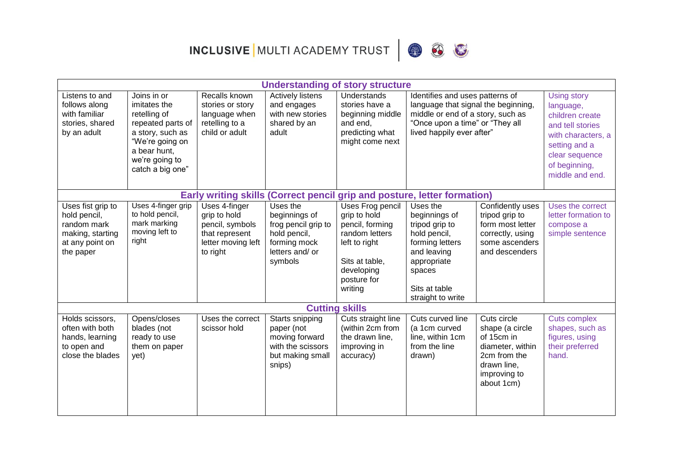INCLUSIVE MULTI ACADEMY TRUST  $\bigcirc$   $\bigcirc$ 



|                                                                                                      |                                                                                                                                                               |                                                                                                      | <b>Understanding of story structure</b>                                                                        |                                                                                                                                                  |                                                                                                                                                                             |                                                                                                                               |                                                                                                                                                                     |  |
|------------------------------------------------------------------------------------------------------|---------------------------------------------------------------------------------------------------------------------------------------------------------------|------------------------------------------------------------------------------------------------------|----------------------------------------------------------------------------------------------------------------|--------------------------------------------------------------------------------------------------------------------------------------------------|-----------------------------------------------------------------------------------------------------------------------------------------------------------------------------|-------------------------------------------------------------------------------------------------------------------------------|---------------------------------------------------------------------------------------------------------------------------------------------------------------------|--|
| Listens to and<br>follows along<br>with familiar<br>stories, shared<br>by an adult                   | Joins in or<br>imitates the<br>retelling of<br>repeated parts of<br>a story, such as<br>"We're going on<br>a bear hunt,<br>we're going to<br>catch a big one" | Recalls known<br>stories or story<br>language when<br>retelling to a<br>child or adult               | <b>Actively listens</b><br>and engages<br>with new stories<br>shared by an<br>adult                            | Understands<br>stories have a<br>beginning middle<br>and end,<br>predicting what<br>might come next                                              | Identifies and uses patterns of<br>language that signal the beginning,<br>middle or end of a story, such as<br>"Once upon a time" or "They all<br>lived happily ever after" |                                                                                                                               | <b>Using story</b><br>language,<br>children create<br>and tell stories<br>with characters, a<br>setting and a<br>clear sequence<br>of beginning,<br>middle and end. |  |
|                                                                                                      | Early writing skills (Correct pencil grip and posture, letter formation)                                                                                      |                                                                                                      |                                                                                                                |                                                                                                                                                  |                                                                                                                                                                             |                                                                                                                               |                                                                                                                                                                     |  |
| Uses fist grip to<br>hold pencil,<br>random mark<br>making, starting<br>at any point on<br>the paper | Uses 4-finger grip<br>to hold pencil,<br>mark marking<br>moving left to<br>right                                                                              | Uses 4-finger<br>grip to hold<br>pencil, symbols<br>that represent<br>letter moving left<br>to right | Uses the<br>beginnings of<br>frog pencil grip to<br>hold pencil,<br>forming mock<br>letters and/ or<br>symbols | Uses Frog pencil<br>grip to hold<br>pencil, forming<br>random letters<br>left to right<br>Sits at table,<br>developing<br>posture for<br>writing | Uses the<br>beginnings of<br>tripod grip to<br>hold pencil,<br>forming letters<br>and leaving<br>appropriate<br>spaces<br>Sits at table<br>straight to write                | Confidently uses<br>tripod grip to<br>form most letter<br>correctly, using<br>some ascenders<br>and descenders                | Uses the correct<br>letter formation to<br>compose a<br>simple sentence                                                                                             |  |
|                                                                                                      |                                                                                                                                                               |                                                                                                      |                                                                                                                | <b>Cutting skills</b>                                                                                                                            |                                                                                                                                                                             |                                                                                                                               |                                                                                                                                                                     |  |
| Holds scissors,<br>often with both<br>hands, learning<br>to open and<br>close the blades             | Opens/closes<br>blades (not<br>ready to use<br>them on paper<br>yet)                                                                                          | Uses the correct<br>scissor hold                                                                     | Starts snipping<br>paper (not<br>moving forward<br>with the scissors<br>but making small<br>snips)             | Cuts straight line<br>(within 2cm from<br>the drawn line,<br>improving in<br>accuracy)                                                           | Cuts curved line<br>(a 1cm curved<br>line, within 1cm<br>from the line<br>drawn)                                                                                            | Cuts circle<br>shape (a circle<br>of 15cm in<br>diameter, within<br>2cm from the<br>drawn line,<br>improving to<br>about 1cm) | <b>Cuts complex</b><br>shapes, such as<br>figures, using<br>their preferred<br>hand.                                                                                |  |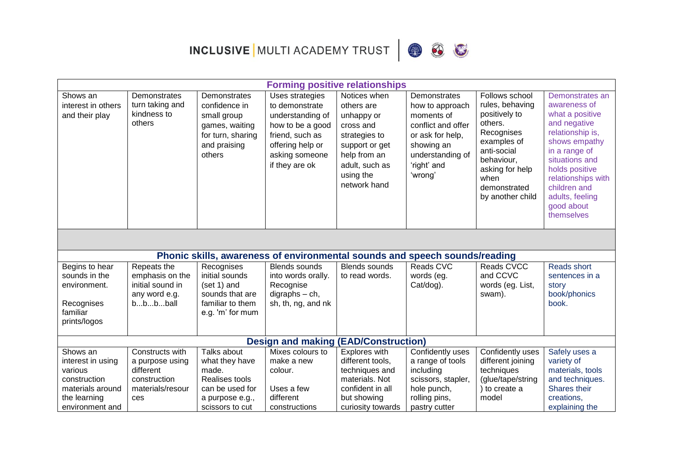



|                                                  | <b>Forming positive relationships</b>                    |                                                                                                               |                                                                                                                                                      |                                                                                                                                                         |                                                                                                                                                     |                                                                                                                                                                                        |                                                                                                                                                                                                                                                   |  |  |
|--------------------------------------------------|----------------------------------------------------------|---------------------------------------------------------------------------------------------------------------|------------------------------------------------------------------------------------------------------------------------------------------------------|---------------------------------------------------------------------------------------------------------------------------------------------------------|-----------------------------------------------------------------------------------------------------------------------------------------------------|----------------------------------------------------------------------------------------------------------------------------------------------------------------------------------------|---------------------------------------------------------------------------------------------------------------------------------------------------------------------------------------------------------------------------------------------------|--|--|
| Shows an<br>interest in others<br>and their play | Demonstrates<br>turn taking and<br>kindness to<br>others | Demonstrates<br>confidence in<br>small group<br>games, waiting<br>for turn, sharing<br>and praising<br>others | Uses strategies<br>to demonstrate<br>understanding of<br>how to be a good<br>friend, such as<br>offering help or<br>asking someone<br>if they are ok | Notices when<br>others are<br>unhappy or<br>cross and<br>strategies to<br>support or get<br>help from an<br>adult, such as<br>using the<br>network hand | Demonstrates<br>how to approach<br>moments of<br>conflict and offer<br>or ask for help,<br>showing an<br>understanding of<br>'right' and<br>'wrong' | Follows school<br>rules, behaving<br>positively to<br>others.<br>Recognises<br>examples of<br>anti-social<br>behaviour,<br>asking for help<br>when<br>demonstrated<br>by another child | Demonstrates an<br>awareness of<br>what a positive<br>and negative<br>relationship is,<br>shows empathy<br>in a range of<br>situations and<br>holds positive<br>relationships with<br>children and<br>adults, feeling<br>good about<br>themselves |  |  |
|                                                  |                                                          |                                                                                                               |                                                                                                                                                      |                                                                                                                                                         |                                                                                                                                                     |                                                                                                                                                                                        |                                                                                                                                                                                                                                                   |  |  |
|                                                  |                                                          |                                                                                                               | Phonic skills, awareness of environmental sounds and speech sounds/reading                                                                           |                                                                                                                                                         |                                                                                                                                                     |                                                                                                                                                                                        |                                                                                                                                                                                                                                                   |  |  |
| Begins to hear                                   | Repeats the                                              | Recognises                                                                                                    | <b>Blends sounds</b>                                                                                                                                 | <b>Blends sounds</b>                                                                                                                                    | Reads CVC                                                                                                                                           | Reads CVCC                                                                                                                                                                             | Reads short                                                                                                                                                                                                                                       |  |  |
| sounds in the                                    | emphasis on the                                          | initial sounds                                                                                                | into words orally.                                                                                                                                   | to read words.                                                                                                                                          | words (eg.                                                                                                                                          | and CCVC                                                                                                                                                                               | sentences in a                                                                                                                                                                                                                                    |  |  |
| environment.                                     | initial sound in                                         | (set 1) and                                                                                                   | Recognise                                                                                                                                            |                                                                                                                                                         | Cat/dog).                                                                                                                                           | words (eg. List,                                                                                                                                                                       | story                                                                                                                                                                                                                                             |  |  |
| Recognises<br>familiar<br>prints/logos           | any word e.g.<br>bbbball                                 | sounds that are<br>familiar to them<br>e.g. 'm' for mum                                                       | $digraphs - ch,$<br>sh, th, ng, and nk                                                                                                               |                                                                                                                                                         |                                                                                                                                                     | swam).                                                                                                                                                                                 | book/phonics<br>book.                                                                                                                                                                                                                             |  |  |
|                                                  |                                                          |                                                                                                               | <b>Design and making</b>                                                                                                                             | (EAD/Construction)                                                                                                                                      |                                                                                                                                                     |                                                                                                                                                                                        |                                                                                                                                                                                                                                                   |  |  |
| Shows an                                         | Constructs with                                          | Talks about                                                                                                   | Mixes colours to                                                                                                                                     | Explores with                                                                                                                                           | Confidently uses                                                                                                                                    | Confidently uses                                                                                                                                                                       | Safely uses a                                                                                                                                                                                                                                     |  |  |
| interest in using                                | a purpose using                                          | what they have                                                                                                | make a new                                                                                                                                           | different tools,                                                                                                                                        | a range of tools                                                                                                                                    | different joining                                                                                                                                                                      | variety of                                                                                                                                                                                                                                        |  |  |
| various                                          | different                                                | made.                                                                                                         | colour.                                                                                                                                              | techniques and                                                                                                                                          | including                                                                                                                                           | techniques                                                                                                                                                                             | materials, tools                                                                                                                                                                                                                                  |  |  |
| construction                                     | construction                                             | <b>Realises tools</b>                                                                                         |                                                                                                                                                      | materials. Not                                                                                                                                          | scissors, stapler,                                                                                                                                  | (glue/tape/string                                                                                                                                                                      | and techniques.                                                                                                                                                                                                                                   |  |  |
| materials around                                 | materials/resour                                         | can be used for                                                                                               | Uses a few                                                                                                                                           | confident in all                                                                                                                                        | hole punch,                                                                                                                                         | ) to create a                                                                                                                                                                          | Shares their                                                                                                                                                                                                                                      |  |  |
| the learning                                     | ces                                                      | a purpose e.g.,                                                                                               | different                                                                                                                                            | but showing                                                                                                                                             | rolling pins,                                                                                                                                       | model                                                                                                                                                                                  | creations,                                                                                                                                                                                                                                        |  |  |
| environment and                                  |                                                          | scissors to cut                                                                                               | constructions                                                                                                                                        | curiosity towards                                                                                                                                       | pastry cutter                                                                                                                                       |                                                                                                                                                                                        | explaining the                                                                                                                                                                                                                                    |  |  |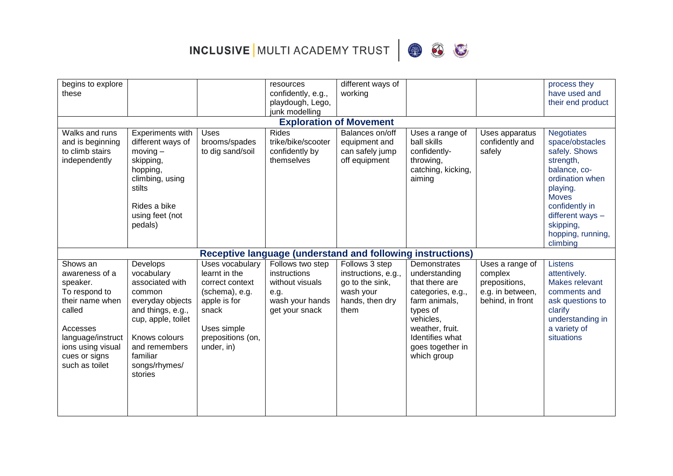



| begins to explore                                                                                                                                                             |                                                                                                                                                                                              |                                                                                                                                                  | resources                                                                                        | different ways of                                                                                |                                                                                                                                                                                         |                                                                                     | process they                                                                                                                                                                                              |  |  |  |
|-------------------------------------------------------------------------------------------------------------------------------------------------------------------------------|----------------------------------------------------------------------------------------------------------------------------------------------------------------------------------------------|--------------------------------------------------------------------------------------------------------------------------------------------------|--------------------------------------------------------------------------------------------------|--------------------------------------------------------------------------------------------------|-----------------------------------------------------------------------------------------------------------------------------------------------------------------------------------------|-------------------------------------------------------------------------------------|-----------------------------------------------------------------------------------------------------------------------------------------------------------------------------------------------------------|--|--|--|
| these                                                                                                                                                                         |                                                                                                                                                                                              |                                                                                                                                                  | confidently, e.g.,                                                                               | working                                                                                          |                                                                                                                                                                                         |                                                                                     | have used and                                                                                                                                                                                             |  |  |  |
|                                                                                                                                                                               |                                                                                                                                                                                              |                                                                                                                                                  | playdough, Lego,                                                                                 |                                                                                                  |                                                                                                                                                                                         |                                                                                     | their end product                                                                                                                                                                                         |  |  |  |
|                                                                                                                                                                               |                                                                                                                                                                                              |                                                                                                                                                  | junk modelling                                                                                   |                                                                                                  |                                                                                                                                                                                         |                                                                                     |                                                                                                                                                                                                           |  |  |  |
| <b>Exploration of Movement</b>                                                                                                                                                |                                                                                                                                                                                              |                                                                                                                                                  |                                                                                                  |                                                                                                  |                                                                                                                                                                                         |                                                                                     |                                                                                                                                                                                                           |  |  |  |
| Walks and runs<br>and is beginning<br>to climb stairs<br>independently                                                                                                        | Experiments with<br>different ways of<br>$moving -$<br>skipping,<br>hopping,<br>climbing, using<br>stilts<br>Rides a bike<br>using feet (not<br>pedals)                                      | <b>Uses</b><br>brooms/spades<br>to dig sand/soil                                                                                                 | Rides<br>trike/bike/scooter<br>confidently by<br>themselves                                      | Balances on/off<br>equipment and<br>can safely jump<br>off equipment                             | Uses a range of<br>ball skills<br>confidently-<br>throwing,<br>catching, kicking,<br>aiming                                                                                             | Uses apparatus<br>confidently and<br>safely                                         | <b>Negotiates</b><br>space/obstacles<br>safely. Shows<br>strength,<br>balance, co-<br>ordination when<br>playing.<br><b>Moves</b><br>confidently in<br>different ways -<br>skipping,<br>hopping, running, |  |  |  |
|                                                                                                                                                                               |                                                                                                                                                                                              |                                                                                                                                                  |                                                                                                  |                                                                                                  |                                                                                                                                                                                         |                                                                                     | climbing                                                                                                                                                                                                  |  |  |  |
|                                                                                                                                                                               |                                                                                                                                                                                              |                                                                                                                                                  | <b>Receptive language (understand and following instructions)</b>                                |                                                                                                  |                                                                                                                                                                                         |                                                                                     |                                                                                                                                                                                                           |  |  |  |
| Shows an<br>awareness of a<br>speaker.<br>To respond to<br>their name when<br>called<br>Accesses<br>language/instruct<br>ions using visual<br>cues or signs<br>such as toilet | Develops<br>vocabulary<br>associated with<br>common<br>everyday objects<br>and things, e.g.,<br>cup, apple, toilet<br>Knows colours<br>and remembers<br>familiar<br>songs/rhymes/<br>stories | Uses vocabulary<br>learnt in the<br>correct context<br>(schema), e.g.<br>apple is for<br>snack<br>Uses simple<br>prepositions (on,<br>under, in) | Follows two step<br>instructions<br>without visuals<br>e.g.<br>wash your hands<br>get your snack | Follows 3 step<br>instructions, e.g.,<br>go to the sink,<br>wash your<br>hands, then dry<br>them | Demonstrates<br>understanding<br>that there are<br>categories, e.g.,<br>farm animals,<br>types of<br>vehicles,<br>weather, fruit.<br>Identifies what<br>goes together in<br>which group | Uses a range of<br>complex<br>prepositions,<br>e.g. in between,<br>behind, in front | <b>Listens</b><br>attentively.<br>Makes relevant<br>comments and<br>ask questions to<br>clarify<br>understanding in<br>a variety of<br>situations                                                         |  |  |  |